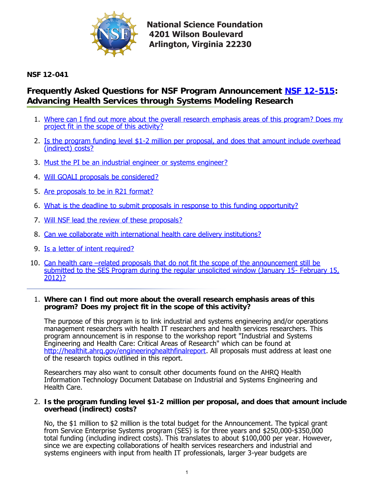

**National Science Foundation 4201 Wilson Boulevard Arlington, Virginia 22230** 

**NSF 12-041**

# **Frequently Asked Questions for NSF Program Announcement [NSF 12-515](http://www.nsf.gov/publications/pub_summ.jsp?ods_key=nsf12515): Advancing Health Services through Systems Modeling Research**

- 1. [Where can I find out more about the overall research emphasis areas of this program? Does my](#page-0-0) project fit in the scope of this activity?
- 2. [Is the program funding level \\$1-2 million per proposal, and does that amount include overhead](#page-0-1) (indirect) costs?
- 3. [Must the PI be an industrial engineer or systems engineer?](#page-1-0)
- 4. [Will GOALI proposals be considered?](#page-1-1)
- 5. [Are proposals to be in R21 format?](#page-1-2)
- 6. [What is the deadline to submit proposals in response to this funding opportunity?](#page-1-3)
- 7. [Will NSF lead the review of these proposals?](#page-1-4)
- 8. [Can we collaborate with international health care delivery institutions?](#page-1-5)
- 9. [Is a letter of intent required?](#page-1-6)
- 10. Can health care -related proposals that do not fit the scope of the announcement still be submitted to the SES Program during the regular unsolicited window (January 15- February 15, 2012)?

## <span id="page-0-0"></span>1. **Where can I find out more about the overall research emphasis areas of this program? Does my project fit in the scope of this activity?**

The purpose of this program is to link industrial and systems engineering and/or operations management researchers with health IT researchers and health services researchers. This program announcement is in response to the workshop report "Industrial and Systems Engineering and Health Care: Critical Areas of Research" which can be found at <http://healthit.ahrq.gov/engineeringhealthfinalreport>. All proposals must address at least one of the research topics outlined in this report.

Researchers may also want to consult other documents found on the AHRQ Health Information Technology Document Database on Industrial and Systems Engineering and Health Care.

#### <span id="page-0-1"></span>2. **Is the program funding level \$1-2 million per proposal, and does that amount include overhead (indirect) costs?**

No, the \$1 million to \$2 million is the total budget for the Announcement. The typical grant from Service Enterprise Systems program (SES) is for three years and \$250,000-\$350,000 total funding (including indirect costs). This translates to about \$100,000 per year. However, since we are expecting collaborations of health services researchers and industrial and systems engineers with input from health IT professionals, larger 3-year budgets are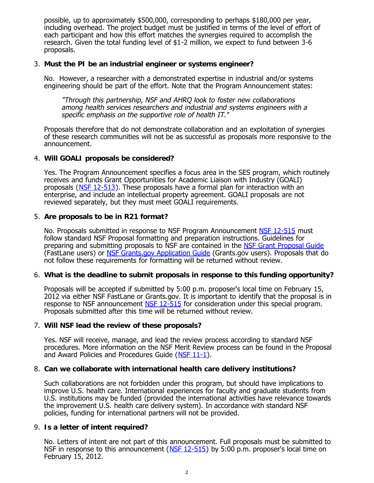possible, up to approximately \$500,000, corresponding to perhaps \$180,000 per year, including overhead. The project budget must be justified in terms of the level of effort of each participant and how this effort matches the synergies required to accomplish the research. Given the total funding level of \$1-2 million, we expect to fund between 3-6 proposals.

## <span id="page-1-0"></span>3. **Must the PI be an industrial engineer or systems engineer?**

No. However, a researcher with a demonstrated expertise in industrial and/or systems engineering should be part of the effort. Note that the Program Announcement states:

"Through this partnership, NSF and AHRQ look to foster new collaborations among health services researchers and industrial and systems engineers with a specific emphasis on the supportive role of health IT."

Proposals therefore that do not demonstrate collaboration and an exploitation of synergies of these research communities will not be as successful as proposals more responsive to the announcement.

## <span id="page-1-1"></span>4. **Will GOALI proposals be considered?**

Yes. The Program Announcement specifies a focus area in the SES program, which routinely receives and funds Grant Opportunities for Academic Liaison with Industry (GOALI) proposals ([NSF 12-513](http://www.nsf.gov/publications/pub_summ.jsp?ods_key=nsf12513)). These proposals have a formal plan for interaction with an enterprise, and include an intellectual property agreement. GOALI proposals are not reviewed separately, but they must meet GOALI requirements.

## <span id="page-1-2"></span>5. **Are proposals to be in R21 format?**

No. Proposals submitted in response to NSF Program Announcement [NSF 12-515](http://www.nsf.gov/publications/pub_summ.jsp?ods_key=nsf12515) must follow standard NSF Proposal formatting and preparation instructions. Guidelines for preparing and submitting proposals to NSF are contained in the [NSF Grant Proposal Guide](http://www.nsf.gov/publications/pub_summ.jsp?ods_key=gpg) (FastLane users) or [NSF Grants.gov Application Guide](http://www.nsf.gov/publications/pub_summ.jsp?ods_key=grantsgovguide) (Grants.gov users). Proposals that do not follow these requirements for formatting will be returned without review.

## <span id="page-1-3"></span>6. **What is the deadline to submit proposals in response to this funding opportunity?**

Proposals will be accepted if submitted by 5:00 p.m. proposer's local time on February 15, 2012 via either NSF FastLane or Grants.gov. It is important to identify that the proposal is in response to NSF announcement [NSF 12-515](http://www.nsf.gov/publications/pub_summ.jsp?ods_key=nsf12515) for consideration under this special program. Proposals submitted after this time will be returned without review.

## <span id="page-1-4"></span>7. **Will NSF lead the review of these proposals?**

Yes. NSF will receive, manage, and lead the review process according to standard NSF procedures. More information on the NSF Merit Review process can be found in the Proposal and Award Policies and Procedures Guide ([NSF 11-1\)](http://www.nsf.gov/pubs/policydocs/pappguide/nsf11001/index.jsp).

## <span id="page-1-5"></span>8. **Can we collaborate with international health care delivery institutions?**

Such collaborations are not forbidden under this program, but should have implications to improve U.S. health care. International experiences for faculty and graduate students from U.S. institutions may be funded (provided the international activities have relevance towards the improvement U.S. health care delivery system). In accordance with standard NSF policies, funding for international partners will not be provided.

## <span id="page-1-6"></span>9. **Is a letter of intent required?**

No. Letters of intent are not part of this announcement. Full proposals must be submitted to NSF in response to this announcement  $(NSF 12-515)$  $(NSF 12-515)$  by 5:00 p.m. proposer's local time on February 15, 2012.